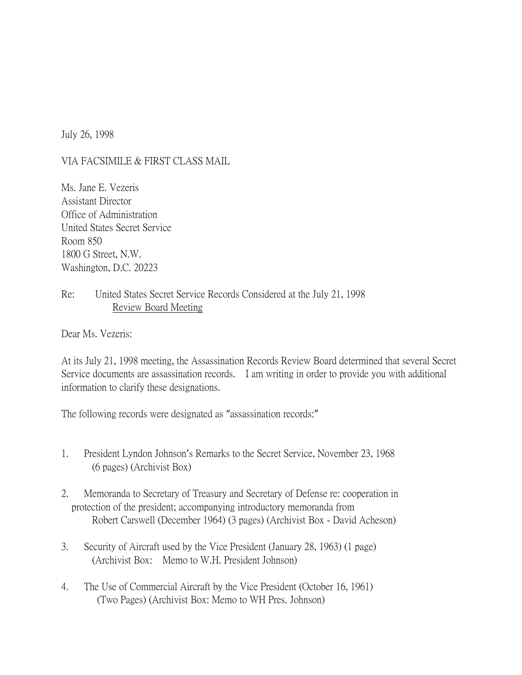July 26, 1998

## VIA FACSIMILE & FIRST CLASS MAIL

Ms. Jane E. Vezeris Assistant Director Office of Administration United States Secret Service Room 850 1800 G Street, N.W. Washington, D.C. 20223

## Re: United States Secret Service Records Considered at the July 21, 1998 Review Board Meeting

Dear Ms. Vezeris:

At its July 21, 1998 meeting, the Assassination Records Review Board determined that several Secret Service documents are assassination records. I am writing in order to provide you with additional information to clarify these designations.

The following records were designated as "assassination records:"

- 1. President Lyndon Johnson's Remarks to the Secret Service, November 23, 1968 (6 pages) (Archivist Box)
- 2. Memoranda to Secretary of Treasury and Secretary of Defense re: cooperation in protection of the president; accompanying introductory memoranda from Robert Carswell (December 1964) (3 pages) (Archivist Box - David Acheson)
- 3. Security of Aircraft used by the Vice President (January 28, 1963) (1 page) (Archivist Box: Memo to W.H. President Johnson)
- 4. The Use of Commercial Aircraft by the Vice President (October 16, 1961) (Two Pages) (Archivist Box: Memo to WH Pres. Johnson)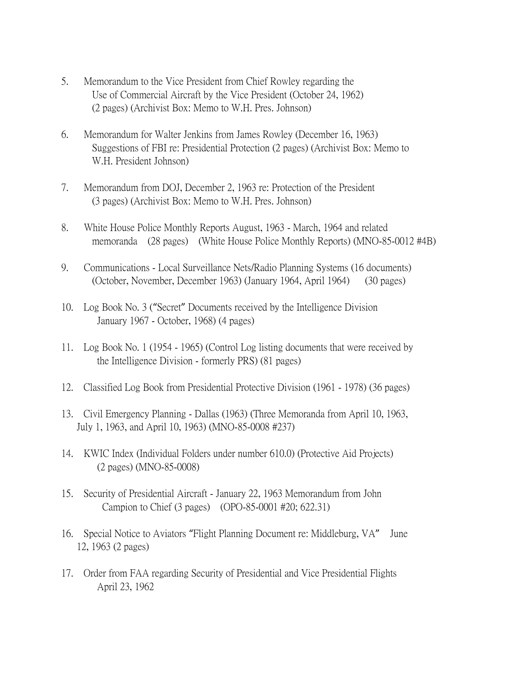- 5. Memorandum to the Vice President from Chief Rowley regarding the Use of Commercial Aircraft by the Vice President (October 24, 1962) (2 pages) (Archivist Box: Memo to W.H. Pres. Johnson)
- 6. Memorandum for Walter Jenkins from James Rowley (December 16, 1963) Suggestions of FBI re: Presidential Protection (2 pages) (Archivist Box: Memo to W.H. President Johnson)
- 7. Memorandum from DOJ, December 2, 1963 re: Protection of the President (3 pages) (Archivist Box: Memo to W.H. Pres. Johnson)
- 8. White House Police Monthly Reports August, 1963 March, 1964 and related memoranda (28 pages) (White House Police Monthly Reports) (MNO-85-0012 #4B)
- 9. Communications Local Surveillance Nets/Radio Planning Systems (16 documents) (October, November, December 1963) (January 1964, April 1964) (30 pages)
- 10. Log Book No. 3 ("Secret" Documents received by the Intelligence Division January 1967 - October, 1968) (4 pages)
- 11. Log Book No. 1 (1954 1965) (Control Log listing documents that were received by the Intelligence Division - formerly PRS) (81 pages)
- 12. Classified Log Book from Presidential Protective Division (1961 1978) (36 pages)
- 13. Civil Emergency Planning Dallas (1963) (Three Memoranda from April 10, 1963, July 1, 1963, and April 10, 1963) (MNO-85-0008 #237)
- 14. KWIC Index (Individual Folders under number 610.0) (Protective Aid Projects) (2 pages) (MNO-85-0008)
- 15. Security of Presidential Aircraft January 22, 1963 Memorandum from John Campion to Chief (3 pages) (OPO-85-0001 #20; 622.31)
- 16. Special Notice to Aviators "Flight Planning Document re: Middleburg, VA" June 12, 1963 (2 pages)
- 17. Order from FAA regarding Security of Presidential and Vice Presidential Flights April 23, 1962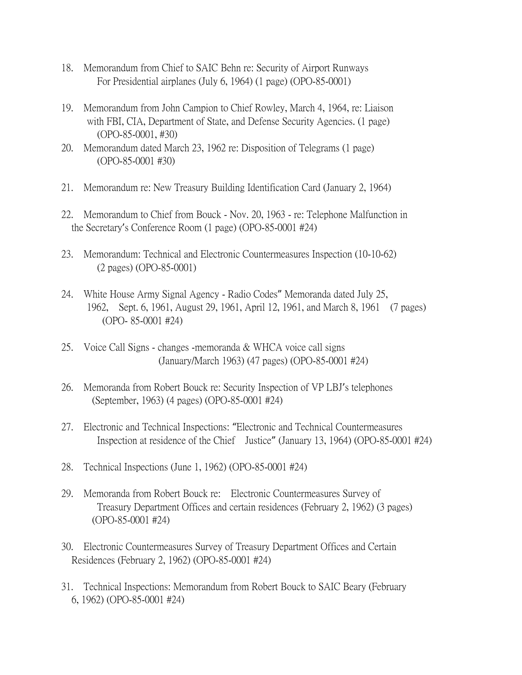- 18. Memorandum from Chief to SAIC Behn re: Security of Airport Runways For Presidential airplanes (July 6, 1964) (1 page) (OPO-85-0001)
- 19. Memorandum from John Campion to Chief Rowley, March 4, 1964, re: Liaison with FBI, CIA, Department of State, and Defense Security Agencies. (1 page) (OPO-85-0001, #30)
- 20. Memorandum dated March 23, 1962 re: Disposition of Telegrams (1 page) (OPO-85-0001 #30)
- 21. Memorandum re: New Treasury Building Identification Card (January 2, 1964)
- 22. Memorandum to Chief from Bouck Nov. 20, 1963 re: Telephone Malfunction in the Secretary's Conference Room (1 page) (OPO-85-0001 #24)
- 23. Memorandum: Technical and Electronic Countermeasures Inspection (10-10-62) (2 pages) (OPO-85-0001)
- 24. White House Army Signal Agency Radio Codes" Memoranda dated July 25, 1962, Sept. 6, 1961, August 29, 1961, April 12, 1961, and March 8, 1961 (7 pages) (OPO- 85-0001 #24)
- 25. Voice Call Signs changes -memoranda & WHCA voice call signs (January/March 1963) (47 pages) (OPO-85-0001 #24)
- 26. Memoranda from Robert Bouck re: Security Inspection of VP LBJ's telephones (September, 1963) (4 pages) (OPO-85-0001 #24)
- 27. Electronic and Technical Inspections: "Electronic and Technical Countermeasures Inspection at residence of the Chief Justice" (January 13, 1964) (OPO-85-0001 #24)
- 28. Technical Inspections (June 1, 1962) (OPO-85-0001 #24)
- 29. Memoranda from Robert Bouck re: Electronic Countermeasures Survey of Treasury Department Offices and certain residences (February 2, 1962) (3 pages) (OPO-85-0001 #24)
- 30. Electronic Countermeasures Survey of Treasury Department Offices and Certain Residences (February 2, 1962) (OPO-85-0001 #24)
- 31. Technical Inspections: Memorandum from Robert Bouck to SAIC Beary (February 6, 1962) (OPO-85-0001 #24)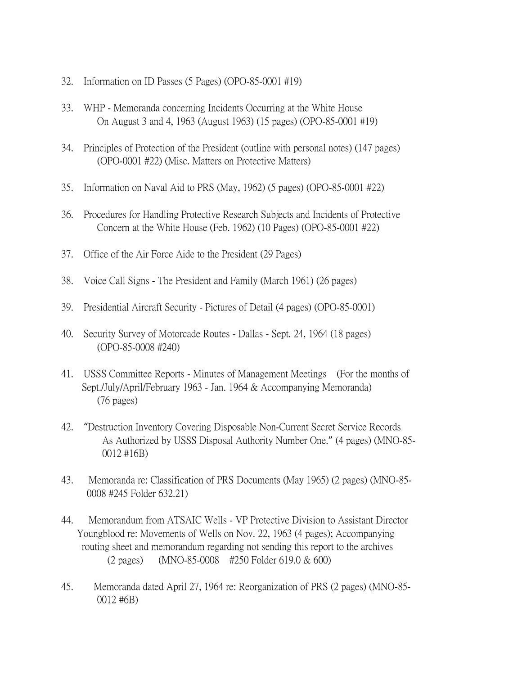- 32. Information on ID Passes (5 Pages) (OPO-85-0001 #19)
- 33. WHP Memoranda concerning Incidents Occurring at the White House On August 3 and 4, 1963 (August 1963) (15 pages) (OPO-85-0001 #19)
- 34. Principles of Protection of the President (outline with personal notes) (147 pages) (OPO-0001 #22) (Misc. Matters on Protective Matters)
- 35. Information on Naval Aid to PRS (May, 1962) (5 pages) (OPO-85-0001 #22)
- 36. Procedures for Handling Protective Research Subjects and Incidents of Protective Concern at the White House (Feb. 1962) (10 Pages) (OPO-85-0001 #22)
- 37. Office of the Air Force Aide to the President (29 Pages)
- 38. Voice Call Signs The President and Family (March 1961) (26 pages)
- 39. Presidential Aircraft Security Pictures of Detail (4 pages) (OPO-85-0001)
- 40. Security Survey of Motorcade Routes Dallas Sept. 24, 1964 (18 pages) (OPO-85-0008 #240)
- 41. USSS Committee Reports Minutes of Management Meetings (For the months of Sept./July/April/February 1963 - Jan. 1964 & Accompanying Memoranda) (76 pages)
- 42. "Destruction Inventory Covering Disposable Non-Current Secret Service Records As Authorized by USSS Disposal Authority Number One." (4 pages) (MNO-85- 0012 #16B)
- 43. Memoranda re: Classification of PRS Documents (May 1965) (2 pages) (MNO-85- 0008 #245 Folder 632.21)
- 44. Memorandum from ATSAIC Wells VP Protective Division to Assistant Director Youngblood re: Movements of Wells on Nov. 22, 1963 (4 pages); Accompanying routing sheet and memorandum regarding not sending this report to the archives (2 pages) (MNO-85-0008 #250 Folder 619.0 & 600)
- 45. Memoranda dated April 27, 1964 re: Reorganization of PRS (2 pages) (MNO-85- 0012 #6B)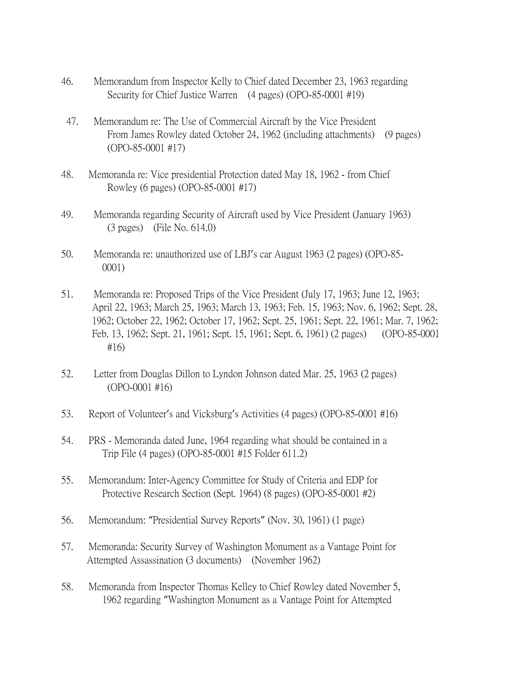- 46. Memorandum from Inspector Kelly to Chief dated December 23, 1963 regarding Security for Chief Justice Warren (4 pages) (OPO-85-0001 #19)
- 47. Memorandum re: The Use of Commercial Aircraft by the Vice President From James Rowley dated October 24, 1962 (including attachments) (9 pages) (OPO-85-0001 #17)
- 48. Memoranda re: Vice presidential Protection dated May 18, 1962 from Chief Rowley (6 pages) (OPO-85-0001 #17)
- 49. Memoranda regarding Security of Aircraft used by Vice President (January 1963) (3 pages) (File No. 614.0)
- 50. Memoranda re: unauthorized use of LBJ's car August 1963 (2 pages) (OPO-85- 0001)
- 51. Memoranda re: Proposed Trips of the Vice President (July 17, 1963; June 12, 1963; April 22, 1963; March 25, 1963; March 13, 1963; Feb. 15, 1963; Nov. 6, 1962; Sept. 28, 1962; October 22, 1962; October 17, 1962; Sept. 25, 1961; Sept. 22, 1961; Mar. 7, 1962; Feb. 13, 1962; Sept. 21, 1961; Sept. 15, 1961; Sept. 6, 1961) (2 pages) (OPO-85-0001 #16)
- 52. Letter from Douglas Dillon to Lyndon Johnson dated Mar. 25, 1963 (2 pages) (OPO-0001 #16)
- 53. Report of Volunteer's and Vicksburg's Activities (4 pages) (OPO-85-0001 #16)
- 54. PRS Memoranda dated June, 1964 regarding what should be contained in a Trip File (4 pages) (OPO-85-0001 #15 Folder 611.2)
- 55. Memorandum: Inter-Agency Committee for Study of Criteria and EDP for Protective Research Section (Sept. 1964) (8 pages) (OPO-85-0001 #2)
- 56. Memorandum: "Presidential Survey Reports" (Nov. 30, 1961) (1 page)
- 57. Memoranda: Security Survey of Washington Monument as a Vantage Point for Attempted Assassination (3 documents) (November 1962)
- 58. Memoranda from Inspector Thomas Kelley to Chief Rowley dated November 5, 1962 regarding "Washington Monument as a Vantage Point for Attempted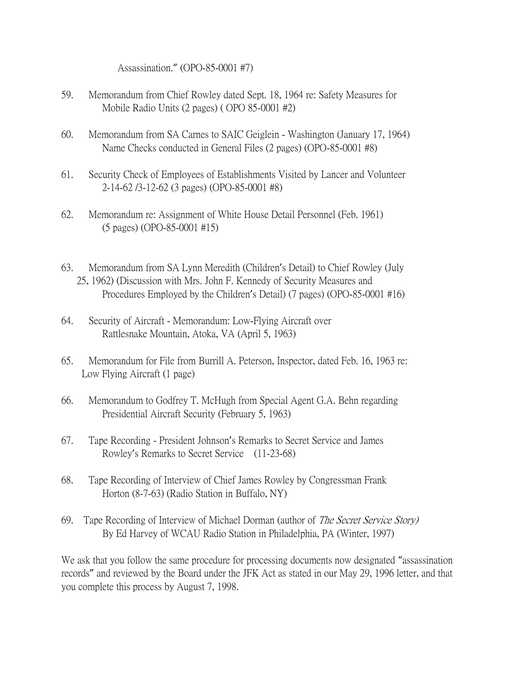Assassination." (OPO-85-0001 #7)

- 59. Memorandum from Chief Rowley dated Sept. 18, 1964 re: Safety Measures for Mobile Radio Units (2 pages) ( OPO 85-0001 #2)
- 60. Memorandum from SA Carnes to SAIC Geiglein Washington (January 17, 1964) Name Checks conducted in General Files (2 pages) (OPO-85-0001 #8)
- 61. Security Check of Employees of Establishments Visited by Lancer and Volunteer 2-14-62 /3-12-62 (3 pages) (OPO-85-0001 #8)
- 62. Memorandum re: Assignment of White House Detail Personnel (Feb. 1961) (5 pages) (OPO-85-0001 #15)
- 63. Memorandum from SA Lynn Meredith (Children's Detail) to Chief Rowley (July 25, 1962) (Discussion with Mrs. John F. Kennedy of Security Measures and Procedures Employed by the Children's Detail) (7 pages) (OPO-85-0001 #16)
- 64. Security of Aircraft Memorandum: Low-Flying Aircraft over Rattlesnake Mountain, Atoka, VA (April 5, 1963)
- 65. Memorandum for File from Burrill A. Peterson, Inspector, dated Feb. 16, 1963 re: Low Flying Aircraft (1 page)
- 66. Memorandum to Godfrey T. McHugh from Special Agent G.A. Behn regarding Presidential Aircraft Security (February 5, 1963)
- 67. Tape Recording President Johnson's Remarks to Secret Service and James Rowley's Remarks to Secret Service (11-23-68)
- 68. Tape Recording of Interview of Chief James Rowley by Congressman Frank Horton (8-7-63) (Radio Station in Buffalo, NY)
- 69. Tape Recording of Interview of Michael Dorman (author of *The Secret Service Story)* By Ed Harvey of WCAU Radio Station in Philadelphia, PA (Winter, 1997)

We ask that you follow the same procedure for processing documents now designated "assassination records" and reviewed by the Board under the JFK Act as stated in our May 29, 1996 letter, and that you complete this process by August 7, 1998.